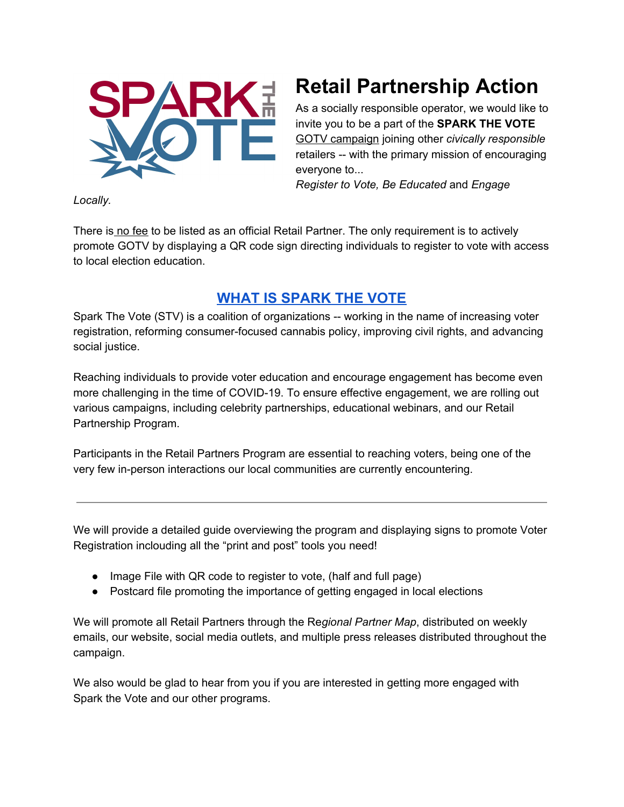

## **Retail Partnership Action**

As a socially responsible operator, we would like to invite you to be a part of the **SPARK THE VOTE** GOTV campaign joining other *civically responsible* retailers -- with the primary mission of encouraging everyone to...

*Register to Vote, Be Educated* and *Engage*

*Locally.*

There is no fee to be listed as an official Retail Partner. The only requirement is to actively promote GOTV by displaying a QR code sign directing individuals to register to vote with access to local election education.

## **WHAT IS [SPARK](https://docs.google.com/document/d/1iUke0iP_gZDn7bwqvyW-hKVEhHEu98itursFJusTgpo/edit?usp=sharing) THE VOTE**

Spark The Vote (STV) is a coalition of organizations -- working in the name of increasing voter registration, reforming consumer-focused cannabis policy, improving civil rights, and advancing social justice.

Reaching individuals to provide voter education and encourage engagement has become even more challenging in the time of COVID-19. To ensure effective engagement, we are rolling out various campaigns, including celebrity partnerships, educational webinars, and our Retail Partnership Program.

Participants in the Retail Partners Program are essential to reaching voters, being one of the very few in-person interactions our local communities are currently encountering.

We will provide a detailed guide overviewing the program and displaying signs to promote Voter Registration inclouding all the "print and post" tools you need!

- Image File with QR code to register to vote, (half and full page)
- Postcard file promoting the importance of getting engaged in local elections

We will promote all Retail Partners through the Re*gional Partner Map*, distributed on weekly emails, our website, social media outlets, and multiple press releases distributed throughout the campaign.

We also would be glad to hear from you if you are interested in getting more engaged with Spark the Vote and our other programs.